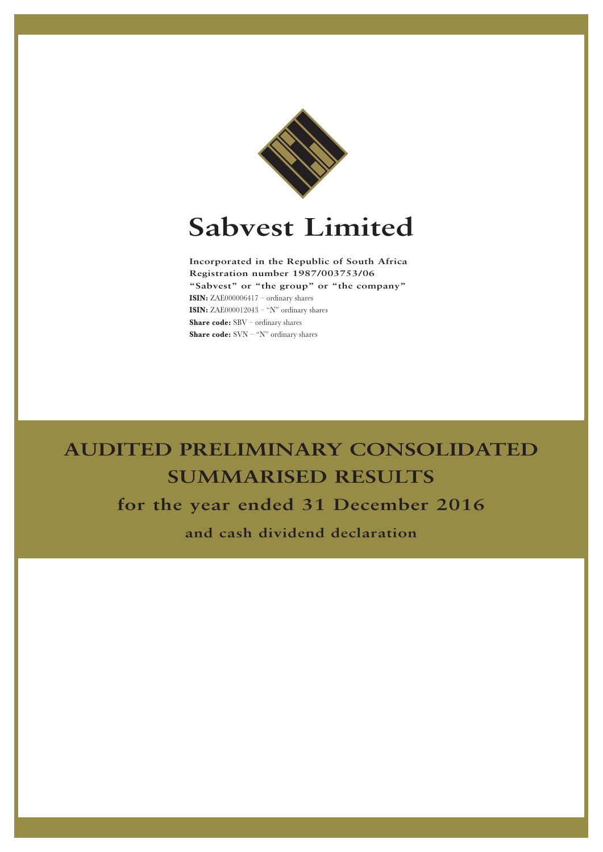

# **Sabvest Limited**

**Incorporated in the Republic of South Africa Registration number 1987/003753/06 "Sabvest" or "the group" or "the company" ISIN:** ZAE000006417 – ordinary shares **ISIN:** ZAE000012043 – "N" ordinary shares **Share code:** SBV – ordinary shares **Share code:** SVN – "N" ordinary shares

## **AUDITED PRELIMINARY CONSOLIDATED SUMMARISED RESULTS for the year ended 31 December 2016**

**and cash dividend declaration**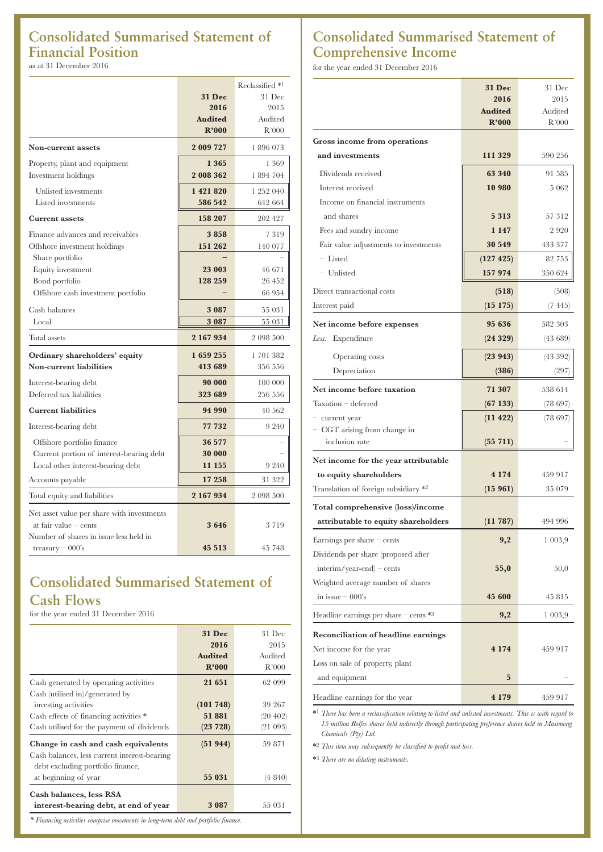## **Consolidated Summarised Statement of Financial Position** as at 31 December 2016

|                                            |                | Reclassified <sup>*1</sup> |
|--------------------------------------------|----------------|----------------------------|
|                                            | <b>31 Dec</b>  | 31 Dec                     |
|                                            | 2016           | 2015                       |
|                                            | <b>Audited</b> | Audited                    |
|                                            | R'000          | R'000                      |
| Non-current assets                         | 2 009 727      | 1896073                    |
| Property, plant and equipment              | 1 3 6 5        | 1 369                      |
| Investment holdings                        | 2 008 362      | 1 894 704                  |
| Unlisted investments                       | 1 421 820      | 1 252 040                  |
| Listed investments                         | 586 542        | 642 664                    |
|                                            |                |                            |
| <b>Current assets</b>                      | 158 207        | 202 427                    |
| Finance advances and receivables           | 3858           | 7319                       |
| Offshore investment holdings               | 151 262        | 140 077                    |
| Share portfolio                            |                |                            |
| Equity investment                          | 23 003         | 46 671                     |
| Bond portfolio                             | 128 259        | 26 452                     |
| Offshore cash investment portfolio         |                | 66 954                     |
| Cash balances                              | 3 0 8 7        | 55 031                     |
| Local                                      | 3 0 8 7        | 55 031                     |
| Total assets                               | 2 167 934      | 2 098 500                  |
| Ordinary shareholders' equity              | 1659255        | 1 701 382                  |
| <b>Non-current liabilities</b>             | 413 689        | 356 556                    |
| Interest-bearing debt                      | 90 000         | 100 000                    |
| Deferred tax liabilities                   | 323 689        | 256 556                    |
| <b>Current liabilities</b>                 | 94 990         | 40 562                     |
| Interest-bearing debt                      | 77 732         | 9 2 4 0                    |
| Offshore portfolio finance                 | 36 577         |                            |
| Current portion of interest-bearing debt   | 30 000         |                            |
| Local other interest-bearing debt          | 11 155         | 9 240                      |
| Accounts payable                           | 17 258         | 31 322                     |
| Total equity and liabilities               | 2 167 934      | 2 098 500                  |
| Net asset value per share with investments |                |                            |
| at fair value $-$ cents                    | 3646           | 3719                       |
| Number of shares in issue less held in     |                |                            |
| treasury $-000$ 's                         | 45 513         | 45 748                     |
|                                            |                |                            |

## **Consolidated Summarised Statement of Cash Flows**

for the year ended 31 December 2016

|                                                                                                                          | <b>31 Dec</b><br>2016<br><b>Audited</b><br>R'000 | 31 Dec<br>2015<br>Audited<br>R'000 |
|--------------------------------------------------------------------------------------------------------------------------|--------------------------------------------------|------------------------------------|
| Cash generated by operating activities<br>Cash (utilised in)/generated by                                                | 21 651                                           | 62 099                             |
| investing activities<br>Cash effects of financing activities *                                                           | (101748)<br>51881                                | 39 267<br>(20 402)                 |
| Cash utilised for the payment of dividends                                                                               | (23 728)                                         | (21 093)                           |
| Change in cash and cash equivalents<br>Cash balances, less current interest-bearing<br>debt excluding portfolio finance, | (51944)                                          | 59 871                             |
| at beginning of year                                                                                                     | 55 031                                           | (4840)                             |
| Cash balances, less RSA<br>interest-bearing debt, at end of year                                                         | 3 0 8 7                                          | 55 031                             |

#### *\* Financing activities comprise movements in long-term debt and portfolio finance.*

## **Consolidated Summarised Statement of Comprehensive Income**

for the year ended 31 December 2016

|                                                | <b>31 Dec</b><br>2016   | 31 Dec<br>2015   |
|------------------------------------------------|-------------------------|------------------|
|                                                | <b>Audited</b><br>R'000 | Audited<br>R'000 |
| Gross income from operations                   |                         |                  |
| and investments                                | 111 329                 | 590 256          |
| Dividends received                             | 63 340                  | 91 585           |
| Interest received                              | 10 980                  | 5 0 6 2          |
| Income on financial instruments                |                         |                  |
| and shares                                     | 5 3 1 3                 | 57 312           |
| Fees and sundry income                         | 1 1 4 7                 | 2920             |
| Fair value adjustments to investments          | 30 549                  | 433 377          |
| - Listed                                       | (127 425)               | 82 753           |
| - Unlisted                                     | 157 974                 | 350 624          |
| Direct transactional costs                     | (518)                   | (508)            |
| Interest paid                                  | $(15\;175)$             | (7 445)          |
| Net income before expenses                     | 95 636                  | 582 303          |
| Less: Expenditure                              | (24329)                 | (43689)          |
| Operating costs                                | (23943)                 | (43392)          |
| Depreciation                                   | (386)                   | (297)            |
| Net income before taxation                     | 71 307                  | 538 614          |
| Taxation – deferred                            | (67133)                 | (78697)          |
| - current year                                 | (11 422)                | (78697)          |
| - CGT arising from change in<br>inclusion rate | (55 711)                |                  |
| Net income for the year attributable           |                         |                  |
| to equity shareholders                         | 4 1 7 4                 | 459 917          |
| Translation of foreign subsidiary *2           | (15961)                 | 35 079           |
| Total comprehensive (loss)/income              |                         |                  |
| attributable to equity shareholders            | (11787)                 | 494 996          |
| Earnings per share $-$ cents                   | 9,2                     | 1003,9           |
| Dividends per share (proposed after            |                         |                  |
| $interim/year-end$ – cents                     | 55,0                    | 50,0             |
| Weighted average number of shares              |                         |                  |
| in issue $-000$ 's                             | 45 600                  | 45 815           |
| Headline earnings per share $-$ cents $*3$     | 9,2                     | 1 003,9          |
| <b>Reconciliation of headline earnings</b>     |                         |                  |
| Net income for the year                        | 4 1 7 4                 | 459 917          |
| Loss on sale of property, plant                |                         |                  |
| and equipment                                  | 5                       |                  |
| Headline earnings for the year                 | 4 1 7 9                 | 459 917          |

\*1 *There has been a reclassification relating to listed and unlisted investments. This is with regard to 15 million Rolfes shares held indirectly through participating preference shares held in Masimong Chemicals (Pty) Ltd.*

\*2 *This item may subsequently be classified to profit and loss.*

\*3 *There are no diluting instruments.*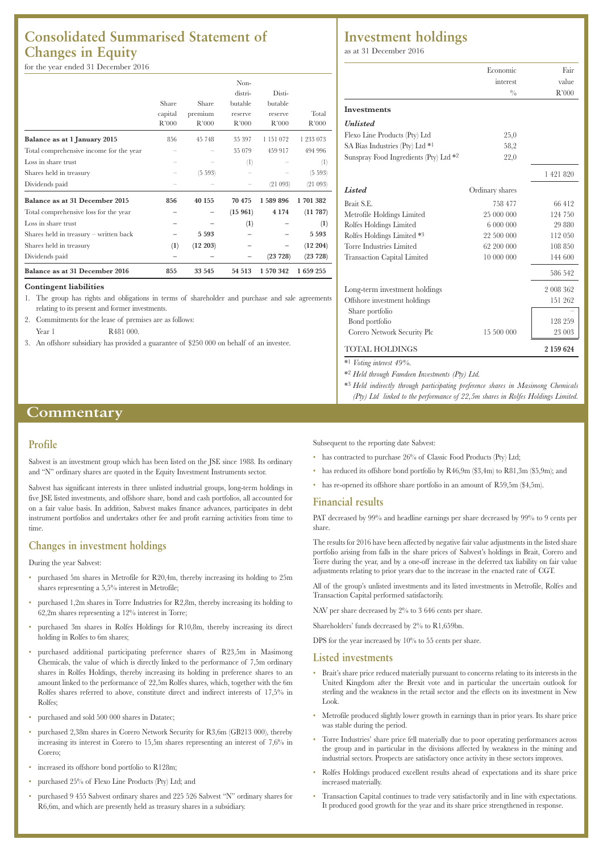## **Consolidated Summarised Statement of Changes in Equity**

#### for the year ended 31 December 2016

|                                         | Share<br>capital<br>R'000 | Share<br>premium<br>R'000 | Non-<br>distri-<br>butable<br>reserve<br>R'000 | Disti-<br>butable<br>reserve<br>R'000 | Total<br>R'000   |
|-----------------------------------------|---------------------------|---------------------------|------------------------------------------------|---------------------------------------|------------------|
|                                         |                           |                           |                                                |                                       |                  |
| Balance as at 1 January 2015            | 856                       | 45 748                    | 35 397                                         | 1 151 072                             | 1 233 073        |
| Total comprehensive income for the year |                           |                           | 35 079                                         | 459 917                               | 494 996          |
| Loss in share trust                     |                           |                           | (1)                                            |                                       | $^{(1)}$         |
| Shares held in treasury                 |                           | (5 593)                   |                                                |                                       | (5 593)          |
| Dividends paid                          |                           |                           |                                                | (21093)                               | (21093)          |
| Balance as at 31 December 2015          | 856                       | 40 155                    | 70 475                                         | 1 589 896                             | 1701382          |
| Total comprehensive loss for the year   |                           |                           | (15961)                                        | 4 1 7 4                               | (11787)          |
| Loss in share trust                     |                           |                           | (1)                                            |                                       | $\left(1\right)$ |
| Shares held in treasury - written back  |                           | 5 5 9 3                   |                                                |                                       | 5 5 9 3          |
| Shares held in treasury                 | (1)                       | (12 203)                  |                                                |                                       | (12 204)         |
| Dividends paid                          |                           |                           |                                                | (23 728)                              | (23 728)         |
| Balance as at 31 December 2016          | 855                       | 33 545                    | 54 513                                         | 1 570 342                             | 1659255          |

#### **Contingent liabilities**

1. The group has rights and obligations in terms of shareholder and purchase and sale agreements relating to its present and former investments.

- 2. Commitments for the lease of premises are as follows:
- Year 1 R481 000.
- 3. An offshore subsidiary has provided a guarantee of \$250 000 on behalf of an investee.

#### **Commentary**

#### **Profile**

Sabvest is an investment group which has been listed on the JSE since 1988. Its ordinary and "N" ordinary shares are quoted in the Equity Investment Instruments sector.

Sabvest has significant interests in three unlisted industrial groups, long-term holdings in five JSE listed investments, and offshore share, bond and cash portfolios, all accounted for on a fair value basis. In addition, Sabvest makes finance advances, participates in debt instrument portfolios and undertakes other fee and profit earning activities from time to time.

#### **Changes in investment holdings**

#### During the year Sabvest:

- purchased 5m shares in Metrofile for R20,4m, thereby increasing its holding to 25m shares representing a 5,5% interest in Metrofile;
- purchased 1,2m shares in Torre Industries for R2,8m, thereby increasing its holding to 62,2m shares representing a 12% interest in Torre;
- purchased 3m shares in Rolfes Holdings for R10,8m, thereby increasing its direct holding in Rolfes to 6m shares;
- purchased additional participating preference shares of R23,5m in Masimong Chemicals, the value of which is directly linked to the performance of 7,5m ordinary shares in Rolfes Holdings, thereby increasing its holding in preference shares to an amount linked to the performance of 22,5m Rolfes shares, which, together with the 6m Rolfes shares referred to above, constitute direct and indirect interests of 17,5% in Rolfes;
- purchased and sold 500 000 shares in Datatec;
- purchased 2,38m shares in Corero Network Security for R3,6m (GB213 000), thereby increasing its interest in Corero to 15,5m shares representing an interest of 7,6% in Corero;
- increased its offshore bond portfolio to R128m;
- purchased 25% of Flexo Line Products (Pty) Ltd; and
- purchased 9 455 Sabvest ordinary shares and 225 526 Sabvest "N" ordinary shares for R6,6m, and which are presently held as treasury shares in a subsidiary.

### **Investment holdings**

as at 31 December 2016

|                                        | Economic        | Fair      |
|----------------------------------------|-----------------|-----------|
|                                        | interest        | value     |
|                                        | $^{0}/_{0}$     | R'000     |
| <b>Investments</b>                     |                 |           |
| <b><i>Unlisted</i></b>                 |                 |           |
| Flexo Line Products (Pty) Ltd          | 25,0            |           |
| SA Bias Industries (Pty) Ltd *1        | 58,2            |           |
| Sunspray Food Ingredients (Pty) Ltd *2 | 22,0            |           |
|                                        |                 | 1 421 820 |
| Listed                                 | Ordinary shares |           |
| Brait S.E.                             | 758 477         | 66412     |
| Metrofile Holdings Limited             | 25 000 000      | 124 750   |
| Rolfes Holdings Limited                | 6 000 000       | 29 880    |
| Rolfes Holdings Limited *3             | 22 500 000      | 112 050   |
| Torre Industries Limited               | 62 200 000      | 108 850   |
| <b>Transaction Capital Limited</b>     | 10 000 000      | 144 600   |
|                                        |                 | 586 542   |
| Long-term investment holdings          |                 | 2 008 362 |
| Offshore investment holdings           |                 | 151 262   |
| Share portfolio                        |                 |           |
| Bond portfolio                         |                 | 128 259   |
| Corero Network Security Plc            | 15 500 000      | 23 003    |
| <b>TOTAL HOLDINGS</b>                  |                 | 2 159 624 |

\*1 *Voting interest 49%.*

\*2 *Held through Famdeen Investments (Pty) Ltd.*

- \*3 *Held indirectly through participating preference shares in Masimong Chemicals*
- *(Pty) Ltd linked to the performance of 22,5m shares in Rolfes Holdings Limited.*

Subsequent to the reporting date Sabvest:

- has contracted to purchase 26% of Classic Food Products (Pty) Ltd;
- has reduced its offshore bond portfolio by R46,9m (\$3,4m) to R81,3m (\$5,9m); and
- has re-opened its offshore share portfolio in an amount of R59,5m (\$4,5m).

#### **Financial results**

PAT decreased by 99% and headline earnings per share decreased by 99% to 9 cents per share.

The results for 2016 have been affected by negative fair value adjustments in the listed share portfolio arising from falls in the share prices of Sabvest's holdings in Brait, Corero and Torre during the year, and by a one-off increase in the deferred tax liability on fair value adjustments relating to prior years due to the increase in the enacted rate of CGT.

All of the group's unlisted investments and its listed investments in Metrofile, Rolfes and Transaction Capital performed satisfactorily.

NAV per share decreased by 2% to 3 646 cents per share.

Shareholders' funds decreased by 2% to R1,659bn.

DPS for the year increased by  $10\%$  to 55 cents per share.

#### **Listed investments**

- Brait's share price reduced materially pursuant to concerns relating to its interests in the United Kingdom after the Brexit vote and in particular the uncertain outlook for sterling and the weakness in the retail sector and the effects on its investment in New Look.
- Metrofile produced slightly lower growth in earnings than in prior years. Its share price was stable during the period.
- Torre Industries' share price fell materially due to poor operating performances across the group and in particular in the divisions affected by weakness in the mining and industrial sectors. Prospects are satisfactory once activity in these sectors improves.
- Rolfes Holdings produced excellent results ahead of expectations and its share price increased materially.
- Transaction Capital continues to trade very satisfactorily and in line with expectations. It produced good growth for the year and its share price strengthened in response.